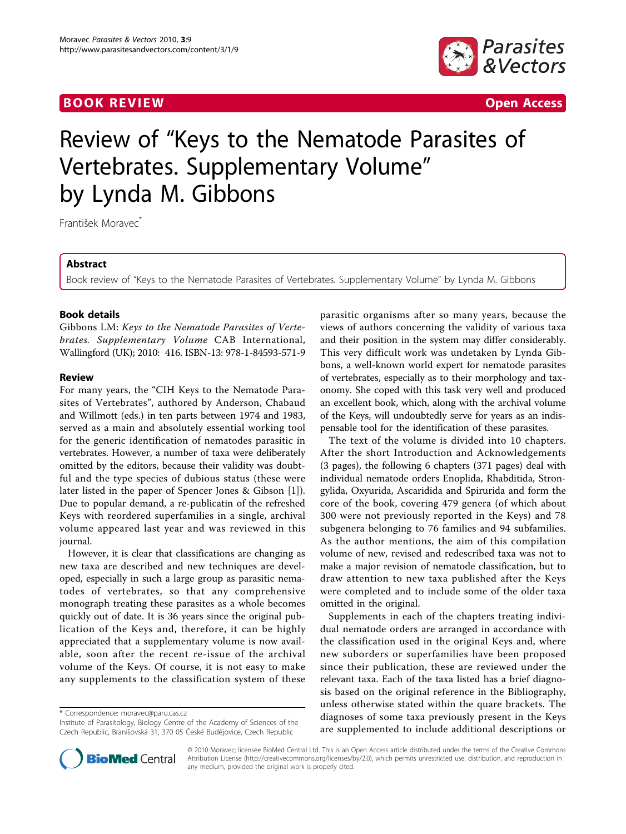# **BOOK REVIEW 2008 CONTROL**



# Review of "Keys to the Nematode Parasites of Vertebrates. Supplementary Volume" by Lynda M. Gibbons

František Moravec<sup>\*</sup>

## Abstract

Book review of "Keys to the Nematode Parasites of Vertebrates. Supplementary Volume" by Lynda M. Gibbons

## Book details

Gibbons LM: Keys to the Nematode Parasites of Vertebrates. Supplementary Volume CAB International, Wallingford (UK); 2010: 416. ISBN-13: 978-1-84593-571-9

#### Review

For many years, the "CIH Keys to the Nematode Parasites of Vertebrates", authored by Anderson, Chabaud and Willmott (eds.) in ten parts between 1974 and 1983, served as a main and absolutely essential working tool for the generic identification of nematodes parasitic in vertebrates. However, a number of taxa were deliberately omitted by the editors, because their validity was doubtful and the type species of dubious status (these were later listed in the paper of Spencer Jones & Gibson [[1\]](#page-1-0)). Due to popular demand, a re-publicatin of the refreshed Keys with reordered superfamilies in a single, archival volume appeared last year and was reviewed in this journal.

However, it is clear that classifications are changing as new taxa are described and new techniques are developed, especially in such a large group as parasitic nematodes of vertebrates, so that any comprehensive monograph treating these parasites as a whole becomes quickly out of date. It is 36 years since the original publication of the Keys and, therefore, it can be highly appreciated that a supplementary volume is now available, soon after the recent re-issue of the archival volume of the Keys. Of course, it is not easy to make any supplements to the classification system of these

\* Correspondence: [moravec@paru.cas.cz](mailto:moravec@paru.cas.cz)

Institute of Parasitology, Biology Centre of the Academy of Sciences of the Czech Republic, Branišovská 31, 370 05 České Budějovice, Czech Republic

parasitic organisms after so many years, because the views of authors concerning the validity of various taxa and their position in the system may differ considerably. This very difficult work was undetaken by Lynda Gibbons, a well-known world expert for nematode parasites of vertebrates, especially as to their morphology and taxonomy. She coped with this task very well and produced an excellent book, which, along with the archival volume of the Keys, will undoubtedly serve for years as an indispensable tool for the identification of these parasites.

The text of the volume is divided into 10 chapters. After the short Introduction and Acknowledgements (3 pages), the following 6 chapters (371 pages) deal with individual nematode orders Enoplida, Rhabditida, Strongylida, Oxyurida, Ascaridida and Spirurida and form the core of the book, covering 479 genera (of which about 300 were not previously reported in the Keys) and 78 subgenera belonging to 76 families and 94 subfamilies. As the author mentions, the aim of this compilation volume of new, revised and redescribed taxa was not to make a major revision of nematode classification, but to draw attention to new taxa published after the Keys were completed and to include some of the older taxa omitted in the original.

Supplements in each of the chapters treating individual nematode orders are arranged in accordance with the classification used in the original Keys and, where new suborders or superfamilies have been proposed since their publication, these are reviewed under the relevant taxa. Each of the taxa listed has a brief diagnosis based on the original reference in the Bibliography, unless otherwise stated within the quare brackets. The diagnoses of some taxa previously present in the Keys are supplemented to include additional descriptions or



© 2010 Moravec; licensee BioMed Central Ltd. This is an Open Access article distributed under the terms of the Creative Commons Attribution License [\(http://creativecommons.org/licenses/by/2.0](http://creativecommons.org/licenses/by/2.0)), which permits unrestricted use, distribution, and reproduction in any medium, provided the original work is properly cited.